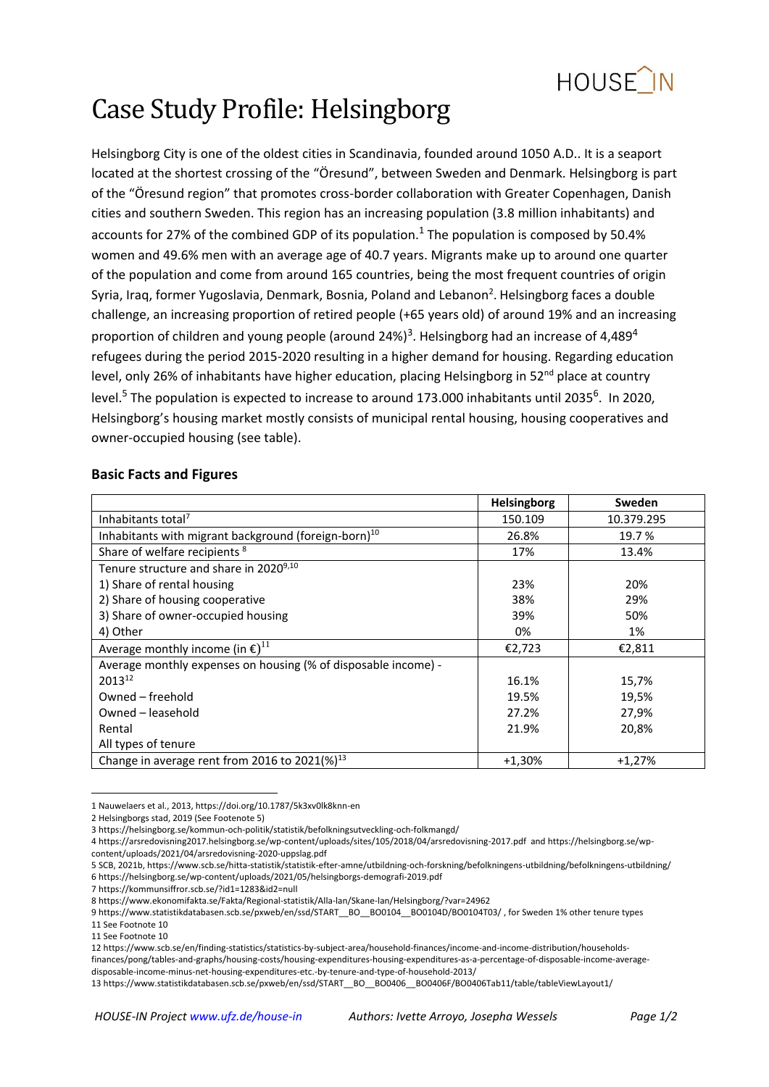

# Case Study Profile: Helsingborg

Helsingborg City is one of the oldest cities in Scandinavia, founded around 1050 A.D.. It is a seaport located at the shortest crossing of the "Öresund", between Sweden and Denmark. Helsingborg is part of the "Öresund region" that promotes cross-border collaboration with Greater Copenhagen, Danish cities and southern Sweden. This region has an increasing population (3.8 million inhabitants) and accounts for 27% of the combined GDP of its population.<sup>1</sup> The population is composed by 50.4% women and 49.6% men with an average age of 40.7 years. Migrants make up to around one quarter of the population and come from around 165 countries, being the most frequent countries of origin Syria, Iraq, former Yugoslavia, Denmark, Bosnia, Poland and Lebanon<sup>2</sup>. Helsingborg faces a double challenge, an increasing proportion of retired people (+65 years old) of around 19% and an increasing proportion of children and young people (around 24%)<sup>3</sup>. Helsingborg had an increase of 4,489<sup>4</sup> refugees during the period 2015-2020 resulting in a higher demand for housing. Regarding education level, only 26% of inhabitants have higher education, placing Helsingborg in 52<sup>nd</sup> place at country level.<sup>5</sup> The population is expected to increase to around 173.000 inhabitants until 2035<sup>6</sup>. In 2020, Helsingborg's housing market mostly consists of municipal rental housing, housing cooperatives and owner-occupied housing (see table).

## **Basic Facts and Figures**

|                                                                  | <b>Helsingborg</b> | Sweden     |
|------------------------------------------------------------------|--------------------|------------|
| Inhabitants total <sup>7</sup>                                   | 150.109            | 10.379.295 |
| Inhabitants with migrant background (foreign-born) <sup>10</sup> | 26.8%              | 19.7 %     |
| Share of welfare recipients <sup>8</sup>                         | 17%                | 13.4%      |
| Tenure structure and share in 2020 <sup>9,10</sup>               |                    |            |
| 1) Share of rental housing                                       | 23%                | 20%        |
| 2) Share of housing cooperative                                  | 38%                | 29%        |
| 3) Share of owner-occupied housing                               | 39%                | 50%        |
| 4) Other                                                         | 0%                 | 1%         |
| Average monthly income (in $\epsilon$ ) <sup>11</sup>            | €2,723             | €2,811     |
| Average monthly expenses on housing (% of disposable income) -   |                    |            |
| 201312                                                           | 16.1%              | 15,7%      |
| Owned – freehold                                                 | 19.5%              | 19,5%      |
| Owned – leasehold                                                | 27.2%              | 27,9%      |
| Rental                                                           | 21.9%              | 20,8%      |
| All types of tenure                                              |                    |            |
| Change in average rent from 2016 to 2021(%) <sup>13</sup>        | $+1,30%$           | $+1,27%$   |

**.** 1 Nauwelaers et al., 2013[, https://doi.org/10.1787/5k3xv0lk8knn-en](https://doi.org/10.1787/5k3xv0lk8knn-en)

12 [https://www.scb.se/en/finding-statistics/statistics-by-subject-area/household-finances/income-and-income-distribution/households-](https://www.scb.se/en/finding-statistics/statistics-by-subject-area/household-finances/income-and-income-distribution/households-finances/pong/tables-and-graphs/housing-costs/housing-expenditures-housing-expenditures-as-a-percentage-of-disposable-income-average-disposable-income-minus-net-housing-expenditures-etc.-by-tenure-and-type-of-household-2013/)

[finances/pong/tables-and-graphs/housing-costs/housing-expenditures-housing-expenditures-as-a-percentage-of-disposable-income-average](https://www.scb.se/en/finding-statistics/statistics-by-subject-area/household-finances/income-and-income-distribution/households-finances/pong/tables-and-graphs/housing-costs/housing-expenditures-housing-expenditures-as-a-percentage-of-disposable-income-average-disposable-income-minus-net-housing-expenditures-etc.-by-tenure-and-type-of-household-2013/)[disposable-income-minus-net-housing-expenditures-etc.-by-tenure-and-type-of-household-2013/](https://www.scb.se/en/finding-statistics/statistics-by-subject-area/household-finances/income-and-income-distribution/households-finances/pong/tables-and-graphs/housing-costs/housing-expenditures-housing-expenditures-as-a-percentage-of-disposable-income-average-disposable-income-minus-net-housing-expenditures-etc.-by-tenure-and-type-of-household-2013/)

<sup>2</sup> Helsingborgs stad, 2019 (See Footenote 5)

<sup>3</sup> <https://helsingborg.se/kommun-och-politik/statistik/befolkningsutveckling-och-folkmangd/>

<sup>4</sup> <https://arsredovisning2017.helsingborg.se/wp-content/uploads/sites/105/2018/04/arsredovisning-2017.pdf>an[d https://helsingborg.se/wp](https://helsingborg.se/wp-content/uploads/2021/04/arsredovisning-2020-uppslag.pdf)[content/uploads/2021/04/arsredovisning-2020-uppslag.pdf](https://helsingborg.se/wp-content/uploads/2021/04/arsredovisning-2020-uppslag.pdf)

<sup>5</sup> SCB, 2021b[, https://www.scb.se/hitta-statistik/statistik-efter-amne/utbildning-och-forskning/befolkningens-utbildning/befolkningens-utbildning/](https://www.scb.se/hitta-statistik/statistik-efter-amne/utbildning-och-forskning/befolkningens-utbildning/befolkningens-utbildning/) 6 <https://helsingborg.se/wp-content/uploads/2021/05/helsingborgs-demografi-2019.pdf>

<sup>7</sup> <https://kommunsiffror.scb.se/?id1=1283&id2=null>

<sup>8</sup> <https://www.ekonomifakta.se/Fakta/Regional-statistik/Alla-lan/Skane-lan/Helsingborg/?var=24962>

<sup>9</sup> https://www.statistikdatabasen.scb.se/pxweb/en/ssd/START\_\_BO\_\_BO0104D\_BO0104D/BO0104T03/ , for Sweden 1% other tenure types 11 See Footnote 10

<sup>11</sup> See Footnote 10

<sup>13</sup> [https://www.statistikdatabasen.scb.se/pxweb/en/ssd/START\\_\\_BO\\_\\_BO0406\\_\\_BO0406F/BO0406Tab11/table/tableViewLayout1/](https://www.statistikdatabasen.scb.se/pxweb/en/ssd/START__BO__BO0406__BO0406F/BO0406Tab11/table/tableViewLayout1/)